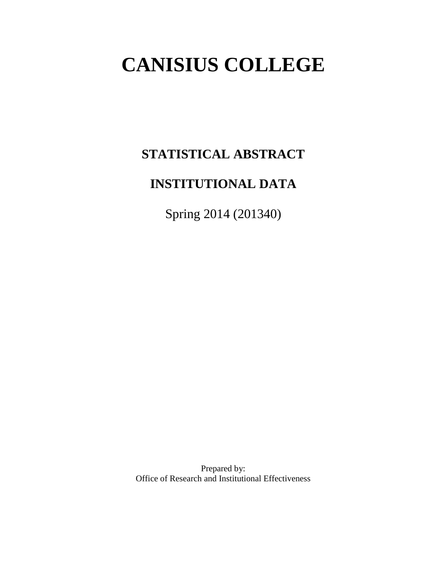# **CANISIUS COLLEGE**

# **STATISTICAL ABSTRACT**

# **INSTITUTIONAL DATA**

Spring 2014 (201340)

Prepared by: Office of Research and Institutional Effectiveness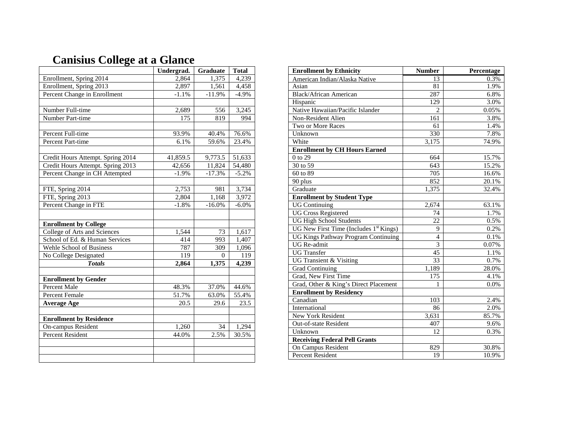|                                   | Undergrad. | Graduate | <b>Total</b> |
|-----------------------------------|------------|----------|--------------|
| Enrollment, Spring 2014           | 2,864      | 1,375    | 4,239        |
| Enrollment, Spring 2013           | 2,897      | 1,561    | 4,458        |
| Percent Change in Enrollment      | $-1.1%$    | $-11.9%$ | $-4.9%$      |
|                                   |            |          |              |
| Number Full-time                  | 2,689      | 556      | 3,245        |
| Number Part-time                  | 175        | 819      | 994          |
|                                   |            |          |              |
| Percent Full-time                 | 93.9%      | 40.4%    | 76.6%        |
| Percent Part-time                 | 6.1%       | 59.6%    | 23.4%        |
|                                   |            |          |              |
| Credit Hours Attempt. Spring 2014 | 41,859.5   | 9,773.5  | 51,633       |
| Credit Hours Attempt. Spring 2013 | 42,656     | 11,824   | 54,480       |
| Percent Change in CH Attempted    | $-1.9%$    | $-17.3%$ | $-5.2%$      |
|                                   |            |          |              |
| FTE, Spring 2014                  | 2,753      | 981      | 3,734        |
| FTE, Spring 2013                  | 2,804      | 1,168    | 3,972        |
| Percent Change in FTE             | $-1.8%$    | $-16.0%$ | $-6.0%$      |
|                                   |            |          |              |
| <b>Enrollment by College</b>      |            |          |              |
| College of Arts and Sciences      | 1,544      | 73       | 1,617        |
| School of Ed. & Human Services    | 414        | 993      | 1,407        |
| Wehle School of Business          | 787        | 309      | 1,096        |
| No College Designated             | 119        | $\Omega$ | 119          |
| <b>Totals</b>                     | 2,864      | 1,375    | 4,239        |
| <b>Enrollment by Gender</b>       |            |          |              |
| Percent Male                      | 48.3%      | 37.0%    | 44.6%        |
| <b>Percent Female</b>             | 51.7%      | 63.0%    | 55.4%        |
| <b>Average Age</b>                | 20.5       | 29.6     | 23.5         |
|                                   |            |          |              |
| <b>Enrollment by Residence</b>    |            |          |              |
| On-campus Resident                | 1,260      | 34       | 1,294        |
| <b>Percent Resident</b>           | 44.0%      | 2.5%     | 30.5%        |
|                                   |            |          |              |
|                                   |            |          |              |
|                                   |            |          |              |

# **Canisius College at a Glance**

| <b>Enrollment by Ethnicity</b>             | <b>Number</b>      | Percentage |
|--------------------------------------------|--------------------|------------|
| American Indian/Alaska Native              | 13                 | 0.3%       |
| Asian                                      | 81                 | 1.9%       |
| <b>Black/African American</b>              | 287                | 6.8%       |
| Hispanic                                   | 129                | 3.0%       |
| Native Hawaiian/Pacific Islander           | $\overline{2}$     | 0.05%      |
| Non-Resident Alien                         | 161                | 3.8%       |
| Two or More Races                          | 61                 | 1.4%       |
| Unknown                                    | 330                | 7.8%       |
| White                                      | $\overline{3,175}$ | 74.9%      |
| <b>Enrollment by CH Hours Earned</b>       |                    |            |
| 0 to 29                                    | 664                | 15.7%      |
| 30 to 59                                   | 643                | 15.2%      |
| 60 to 89                                   | 705                | 16.6%      |
| 90 plus                                    | 852                | 20.1%      |
| Graduate                                   | 1,375              | 32.4%      |
| <b>Enrollment by Student Type</b>          |                    |            |
| <b>UG</b> Continuing                       | 2,674              | 63.1%      |
| <b>UG Cross Registered</b>                 | 74                 | 1.7%       |
| <b>UG High School Students</b>             | 22                 | 0.5%       |
| UG New First Time (Includes $1st$ Kings)   | 9                  | 0.2%       |
| <b>UG Kings Pathway Program Continuing</b> | $\overline{4}$     | 0.1%       |
| UG Re-admit                                | 3                  | $0.07\%$   |
| <b>UG</b> Transfer                         | 45                 | 1.1%       |
| UG Transient & Visiting                    | 33                 | 0.7%       |
| <b>Grad Continuing</b>                     | 1,189              | 28.0%      |
| Grad, New First Time                       | 175                | 4.1%       |
| Grad, Other & King's Direct Placement      | 1                  | 0.0%       |
| <b>Enrollment by Residency</b>             |                    |            |
| Canadian                                   | $10\overline{3}$   | 2.4%       |
| International                              | 86                 | 2.0%       |
| New York Resident                          | 3,631              | 85.7%      |
| Out-of-state Resident                      | 407                | 9.6%       |
| Unknown                                    | 12                 | 0.3%       |
| <b>Receiving Federal Pell Grants</b>       |                    |            |
| On Campus Resident                         | 829                | 30.8%      |
| <b>Percent Resident</b>                    | 19                 | 10.9%      |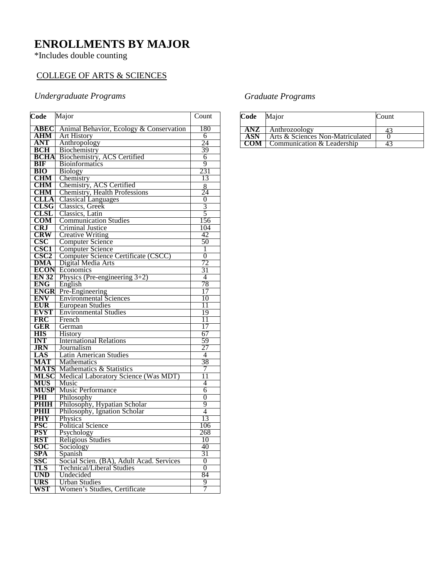# **ENROLLMENTS BY MAJOR**

#### \*Includes double counting

### COLLEGE OF ARTS & SCIENCES

#### *Undergraduate Programs*

| Code                | Major                                     | Count          |
|---------------------|-------------------------------------------|----------------|
| ABEC                | Animal Behavior, Ecology & Conservation   | 180            |
| $\overline{\bf AM}$ | <b>Art History</b>                        | 6              |
| <b>ANT</b>          | Anthropology                              | 24             |
| <b>BCH</b>          | Biochemistry                              | 39             |
| <b>BCHA</b>         | Biochemistry, ACS Certified               | 6              |
| <b>BIF</b>          | <b>Bioinformatics</b>                     | 9              |
| <b>BIO</b>          | <b>Biology</b>                            | 231            |
| <b>CHM</b>          | Chemistry                                 | 13             |
| <b>CHM</b>          | Chemistry, ACS Certified                  | $\frac{8}{24}$ |
| <b>CHM</b>          | <b>Chemistry, Health Professions</b>      |                |
| <b>CLLA</b>         | <b>Classical Languages</b>                | 0              |
| CLSG                | Classics, Greek                           | 3              |
| CLSL                | Classics, Latin                           | 5              |
| <b>COM</b>          | <b>Communication Studies</b>              | 156            |
| <b>CRJ</b>          | Criminal Justice                          | 104            |
| <b>CRW</b>          | <b>Creative Writing</b>                   | 42             |
| $\bf CSC$           | Computer Science                          | 50             |
| <b>CSC1</b>         | <b>Computer Science</b>                   | 1              |
| CSC <sub>2</sub>    | Computer Science Certificate (CSCC)       | $\overline{0}$ |
| DMA                 | Digital Media Arts                        | 72             |
| <b>ECON</b>         | Economics                                 | 31             |
| <b>EN 32</b>        | Physics (Pre-engineering $3+2$ )          | 4              |
| <b>ENG</b>          | English                                   | 78             |
| <b>ENGR</b>         | Pre-Engineering                           | 17             |
| <b>ENV</b>          | <b>Environmental Sciences</b>             | 10             |
| <b>EUR</b>          | <b>European Studies</b>                   | 11             |
| <b>EVST</b>         | <b>Environmental Studies</b>              | 19             |
| <b>FRC</b>          | French                                    | 11             |
| GER<br><b>HIS</b>   | German                                    | 17             |
| <b>INT</b>          | History<br><b>International Relations</b> | 67<br>59       |
| <b>JRN</b>          | Journalism                                | 27             |
| LAS                 | Latin American Studies                    | 4              |
| <b>MAT</b>          | Mathematics                               | 38             |
| <b>MATS</b>         | Mathematics & Statistics                  | 7              |
| MLSC                | Medical Laboratory Science (Was MDT)      | 11             |
| <b>MUS</b>          | Music                                     | 4              |
| <b>MUSP</b>         | <b>Music Performance</b>                  | 6              |
| PHI                 | Philosophy                                | 0              |
| <b>PHIH</b>         | Philosophy, Hypatian Scholar              | 9              |
| <b>PHII</b>         | Philosophy, Ignation Scholar              | 4              |
| <b>PHY</b>          | Physics                                   | 13             |
| <b>PSC</b>          | <b>Political Science</b>                  | 106            |
| PSY                 | Psychology                                | 268            |
| RST                 | <b>Religious Studies</b>                  | 10             |
| <b>SOC</b>          | Sociology                                 | 40             |
| <b>SPA</b>          | Spanish                                   | 31             |
| SSC                 | Social Scien. (BA), Adult Acad. Services  | $\overline{0}$ |
| TLS                 | <b>Technical/Liberal Studies</b>          | $\Omega$       |
| <b>UND</b>          | Undecided                                 | 84             |
| URS                 | <b>Urban Studies</b>                      | 9              |
| WST                 | Women's Studies, Certificate              | 7              |

#### *Graduate Programs*

| Code | Major                            | Count |
|------|----------------------------------|-------|
| ANZ  | Anthrozoology                    |       |
| ASN  | Arts & Sciences Non-Matriculated |       |
| COM  | Communication & Leadership       |       |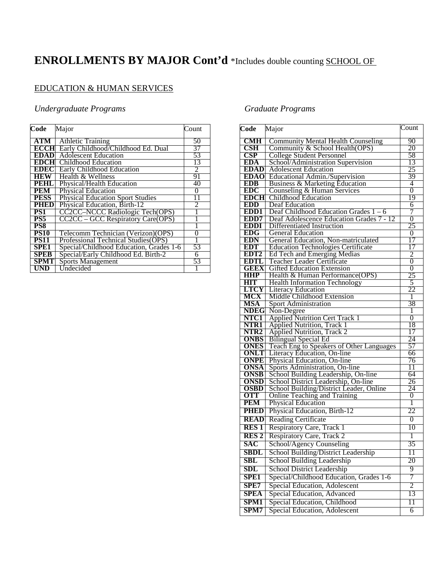# **ENROLLMENTS BY MAJOR Cont'd** \*Includes double counting SCHOOL OF

### EDUCATION & HUMAN SERVICES

#### *Undergraduate Programs*

| Code            | Major                                   | Count          |
|-----------------|-----------------------------------------|----------------|
|                 |                                         |                |
| $ATM$           | <b>Athletic Training</b>                | 50             |
| <b>ECCHI</b>    | Early Childhood/Childhood Ed. Dual      | 37             |
| <b>EDAD</b>     | <b>Adolescent Education</b>             | 53             |
| <b>EDCH</b>     | Childhood Education                     | 13             |
| <b>EDEC</b>     | Early Childhood Education               | 2              |
| <b>HEW</b>      | Health & Wellness                       | 91             |
| <b>PEHL</b>     | Physical/Health Education               | 40             |
| <b>PEM</b>      | <b>Physical Education</b>               | 0              |
| <b>PESS</b>     | <b>Physical Education Sport Studies</b> | 11             |
| <b>PHED</b>     | Physical Education, Birth-12            | $\mathfrak{D}$ |
| PS1             | CC2CC–NCCC Radiologic Tech(OPS)         |                |
| PS <sub>5</sub> | CC2CC – GCC Respiratory Care(OPS)       |                |
| PS <sub>8</sub> |                                         |                |
| <b>PS10</b>     | Telecomm Technician (Verizon) (OPS)     | 0              |
| <b>PS11</b>     | Professional Technical Studies(OPS)     |                |
| <b>SPE1</b>     | Special/Childhood Education, Grades 1-6 | 53             |
| <b>SPEB</b>     | Special/Early Childhood Ed. Birth-2     | 6              |
| <b>SPMT</b>     | <b>Sports Management</b>                | 53             |
| UND             | Undecided                               |                |

#### *Graduate Programs*

| Code                      | Major                                                                  | $\overline{\text{Count}}$ |
|---------------------------|------------------------------------------------------------------------|---------------------------|
| <b>CMH</b>                | <b>Community Mental Health Counseling</b>                              | 90                        |
| $\overline{\text{CSH}}$   | Community & School Health(OPS)                                         | 20                        |
| CSP                       | <b>College Student Personnel</b>                                       | 58                        |
| <b>EDA</b>                | School/Administration Supervision                                      | 13                        |
|                           | <b>EDAD</b> Adolescent Education                                       | 25                        |
| <b>EDAO</b>               | Educational Admin./Supervision                                         | 39                        |
| <b>EDB</b>                | Business & Marketing Education                                         | 4                         |
| <b>EDC</b>                | Counseling & Human Services                                            | $\overline{0}$            |
| <b>EDCH</b>               | <b>Childhood Education</b>                                             | 19                        |
| <b>EDD</b>                | <b>Deaf Education</b>                                                  | 6                         |
| EDD1                      | Deaf Childhood Education Grades $1 - 6$                                | 7                         |
| EDD7                      | Deaf Adolescence Education Grades 7 - 12                               | $\overline{0}$            |
| <b>EDDI</b>               | Differentiated Instruction                                             | 25                        |
| <b>EDG</b>                | <b>General Education</b>                                               | 0                         |
| <b>EDN</b>                | General Education, Non-matriculated                                    | 17                        |
| <b>EDT</b>                | <b>Education Technologies Certificate</b>                              | 17                        |
| EDT <sub>2</sub>          | Ed Tech and Emerging Medias                                            | $\overline{2}$            |
| <b>EDTL</b>               | <b>Teacher Leader Certificate</b>                                      | $\overline{0}$            |
| <b>GEEX</b>               | <b>Gifted Education Extension</b>                                      | 0                         |
| HHP                       | Health & Human Performance(OPS)                                        | 25                        |
| <b>HIT</b><br><b>LTCY</b> | <b>Health Information Technology</b>                                   | 5<br>22                   |
| MCX                       | <b>Literacy Education</b><br>Middle Childhood Extension                | 1                         |
| MSA                       | Sport Administration                                                   | 38                        |
| <b>NDEG</b>               | Non-Degree                                                             | 1                         |
| NTC1                      | <b>Applied Nutrition Cert Track 1</b>                                  | $\overline{0}$            |
| NTR1                      |                                                                        | 18                        |
| NTR <sub>2</sub>          | <b>Applied Nutrition, Track 1</b><br><b>Applied Nutrition, Track 2</b> | 17                        |
| <b>ONBS</b>               | <b>Bilingual Special Ed</b>                                            | 24                        |
| <b>ONES</b>               | Teach Eng to Speakers of Other Languages                               | 57                        |
| ONLT                      | Literacy Education, On-line                                            | 66                        |
| <b>ONPE</b>               | Physical Education, On-line                                            | 76                        |
| <b>ONSA</b>               | Sports Administration, On-line                                         | 11                        |
| <b>ONSB</b>               | School Building Leadership, On-line                                    | 64                        |
| <b>ONSD</b>               | School District Leadership, On-line                                    | 26                        |
| <b>OSBD</b>               | School Building/District Leader, Online                                | 24                        |
| <b>OTT</b>                | <b>Online Teaching and Training</b>                                    | 0                         |
| <b>PEM</b>                | <b>Physical Education</b>                                              | 1                         |
| <b>PHED</b>               | Physical Education, Birth-12                                           | 22                        |
| <b>READ</b>               | <b>Reading Certificate</b>                                             | 0                         |
| <b>RES1</b>               | Respiratory Care, Track 1                                              | 10                        |
| <b>RES2</b>               | Respiratory Care, Track 2                                              | 1                         |
| SAC                       | School/Agency Counseling                                               | 35                        |
| SBDL                      | School Building/District Leadership                                    | 11                        |
| SBL                       | School Building Leadership                                             | 20                        |
| $\overline{\text{SDL}}$   | School District Leadership                                             | 9                         |
| <b>SPE1</b>               | Special/Childhood Education, Grades 1-6                                | 7                         |
| SPE7                      | Special Education, Adolescent                                          | 2                         |
|                           |                                                                        |                           |
| <b>SPEA</b>               | Special Education, Advanced                                            | 13                        |
| SPM1                      | Special Education, Childhood                                           | 11                        |
| SPM7                      | Special Education, Adolescent                                          | 6                         |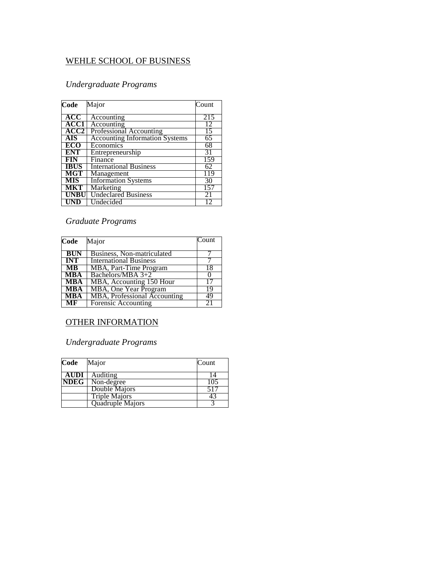#### WEHLE SCHOOL OF BUSINESS

#### *Undergraduate Programs*

| Code        | Major                                 | Count |
|-------------|---------------------------------------|-------|
| ACC         | Accounting                            | 215   |
| <b>ACC1</b> | Accounting                            | 12    |
| <b>ACC2</b> | Professional Accounting               | 15    |
| AIS         | <b>Accounting Information Systems</b> | 65    |
| ECO         | Economics                             | 68    |
| <b>ENT</b>  | Entrepreneurship                      | 31    |
| FIN         | Finance                               | 159   |
| <b>IBUS</b> | <b>International Business</b>         | 62    |
| MGT         | Management                            | 119   |
| <b>MIS</b>  | <b>Information Systems</b>            | 30    |
| <b>MKT</b>  | Marketing                             | 157   |
| <b>UNBU</b> | <b>Undeclared Business</b>            | 21    |
| UND         | Undecided                             | 12    |

#### *Graduate Programs*

| Code       | Major                         | Count |
|------------|-------------------------------|-------|
| <b>BUN</b> | Business, Non-matriculated    |       |
| <b>INT</b> | <b>International Business</b> |       |
| MB         | MBA, Part-Time Program        | 18    |
| <b>MBA</b> | Bachelors/MBA $3+2$           |       |
| <b>MBA</b> | MBA, Accounting 150 Hour      |       |
| <b>MBA</b> | <b>MBA, One Year Program</b>  | 19    |
| <b>MBA</b> | MBA, Professional Accounting  | 49    |
| MF         | Forensic Accounting           | 21    |

#### OTHER INFORMATION

#### *Undergraduate Programs*

| Code        | Major                    | Count            |
|-------------|--------------------------|------------------|
| <b>AUDI</b> | Auditing                 |                  |
|             | <b>NDEG</b>   Non-degree | $10\overline{5}$ |
|             | Double Majors            | 517              |
|             | <b>Triple Majors</b>     | 43               |
|             | Quadruple Majors         |                  |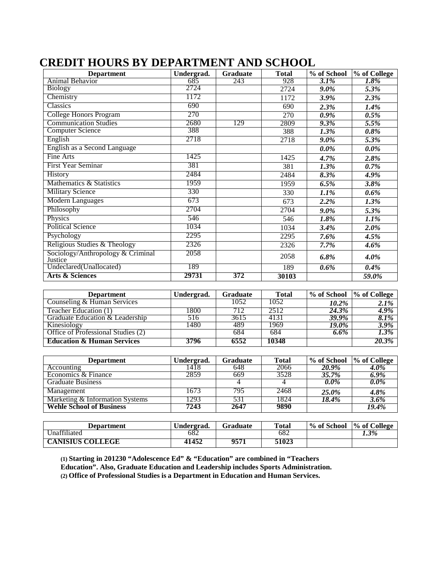| <b>Department</b>                            | Undergrad. | <b>Graduate</b> | <b>Total</b> | % of School | % of College |
|----------------------------------------------|------------|-----------------|--------------|-------------|--------------|
| Animal Behavior                              | 685        | 243             | 928          | $3.1\%$     | 1.8%         |
| <b>Biology</b>                               | 2724       |                 | 2724         | $9.0\%$     | 5.3%         |
| Chemistry                                    | 1172       |                 | 1172         | 3.9%        | 2.3%         |
| <b>Classics</b>                              | 690        |                 | 690          | 2.3%        | 1.4%         |
| College Honors Program                       | 270        |                 | 270          | 0.9%        | $0.5\%$      |
| <b>Communication Studies</b>                 | 2680       | 129             | 2809         | 9.3%        | 5.5%         |
| <b>Computer Science</b>                      | 388        |                 | 388          | 1.3%        | 0.8%         |
| English                                      | 2718       |                 | 2718         | 9.0%        | 5.3%         |
| English as a Second Language                 |            |                 |              | $0.0\%$     | 0.0%         |
| Fine Arts                                    | 1425       |                 | 1425         | 4.7%        | 2.8%         |
| First Year Seminar                           | 381        |                 | 381          | 1.3%        | $0.7\%$      |
| History                                      | 2484       |                 | 2484         | 8.3%        | 4.9%         |
| Mathematics & Statistics                     | 1959       |                 | 1959         | 6.5%        | 3.8%         |
| <b>Military Science</b>                      | 330        |                 | 330          | $1.1\%$     | 0.6%         |
| <b>Modern Languages</b>                      | 673        |                 | 673          | 2.2%        | 1.3%         |
| Philosophy                                   | 2704       |                 | 2704         | $9.0\%$     | 5.3%         |
| Physics                                      | 546        |                 | 546          | $1.8\%$     | 1.1%         |
| <b>Political Science</b>                     | 1034       |                 | 1034         | 3.4%        | 2.0%         |
| Psychology                                   | 2295       |                 | 2295         | 7.6%        | 4.5%         |
| Religious Studies & Theology                 | 2326       |                 | 2326         | 7.7%        | $4.6\%$      |
| Sociology/Anthropology & Criminal<br>Justice | 2058       |                 | 2058         | 6.8%        | $4.0\%$      |
| Undeclared(Unallocated)                      | 189        |                 | 189          | 0.6%        | 0.4%         |
| <b>Arts &amp; Sciences</b>                   | 29731      | 372             | 30103        |             | 59.0%        |

### **CREDIT HOURS BY DEPARTMENT AND SCHOOL**

| <b>Department</b>                     | Undergrad. | <b>Graduate</b> | <b>Total</b> | % of School  % of College |         |
|---------------------------------------|------------|-----------------|--------------|---------------------------|---------|
| Counseling & Human Services           |            | 1052            | 1052         | 10.2%                     | 2.1%    |
| Teacher Education (1)                 | 1800       | 712             | 2512         | 24.3%                     | 4.9%    |
| Graduate Education & Leadership       | 516        | 3615            | 4131         | 39.9%                     | $8.1\%$ |
| Kinesiology                           | 1480       | 489             | 1969         | <b>19.0%</b>              | 3.9%    |
| Office of Professional Studies (2)    |            | 684             | 684          | 6.6%                      | $1.3\%$ |
| <b>Education &amp; Human Services</b> | 3796       | 6552            | 10348        |                           | 20.3%   |

| <b>Department</b>               | Undergrad. | <b>Graduate</b> | <b>Total</b> | % of School | % of College |
|---------------------------------|------------|-----------------|--------------|-------------|--------------|
| Accounting                      | 1418       | 648             | 2066         | 20.9%       | 4.0%         |
| Economics & Finance             | 2859       | 669             | 3528         | 35.7%       | $6.9\%$      |
| <b>Graduate Business</b>        |            |                 |              | $0.0\%$     | $0.0\%$      |
| Management                      | 1673       | 795.            | 2468         | 25.0%       | 4.8%         |
| Marketing & Information Systems | 1293       | 531             | 1824         | 18.4%       | $3.6\%$      |
| <b>Wehle School of Business</b> | 7243       | 2647            | 9890         |             | 19.4%        |

| <b>Department</b>       | Undergrad. | Graduate | <b>Total</b> | % of School | ∣% of College |
|-------------------------|------------|----------|--------------|-------------|---------------|
| <b>Inaffiliated</b>     | 682        |          | -682         |             | 1.3%          |
| <b>CANISIUS COLLEGE</b> | 11452      | 9571     | 51023        |             |               |

**(1) Starting in 201230 "Adolescence Ed" & "Education" are combined in "Teachers** 

**Education". Also, Graduate Education and Leadership includes Sports Administration.**

**(2) Office of Professional Studies is a Department in Education and Human Services.**